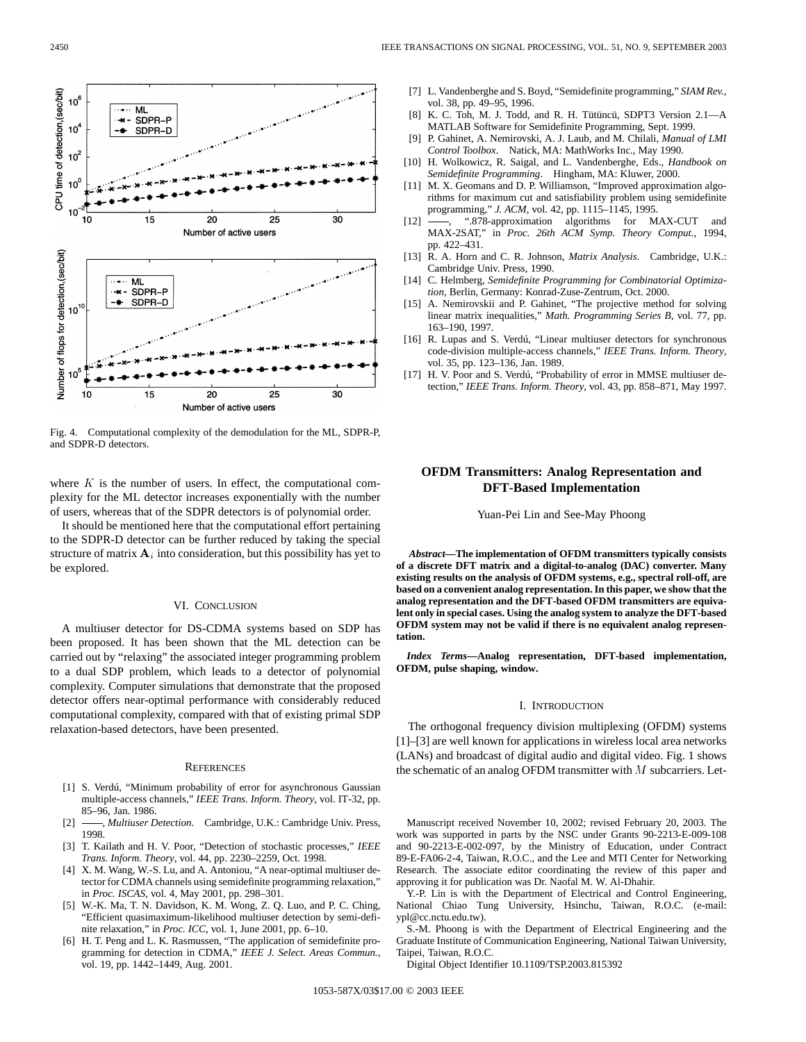

Fig. 4. Computational complexity of the demodulation for the ML, SDPR-P, and SDPR-D detectors.

where  $K$  is the number of users. In effect, the computational complexity for the ML detector increases exponentially with the number of users, whereas that of the SDPR detectors is of polynomial order.

It should be mentioned here that the computational effort pertaining to the SDPR-D detector can be further reduced by taking the special structure of matrix  $A_i$  into consideration, but this possibility has yet to be explored.

#### VI. CONCLUSION

A multiuser detector for DS-CDMA systems based on SDP has been proposed. It has been shown that the ML detection can be carried out by "relaxing" the associated integer programming problem to a dual SDP problem, which leads to a detector of polynomial complexity. Computer simulations that demonstrate that the proposed detector offers near-optimal performance with considerably reduced computational complexity, compared with that of existing primal SDP relaxation-based detectors, have been presented.

#### **REFERENCES**

- [1] S. Verdú, "Minimum probability of error for asynchronous Gaussian multiple-access channels," *IEEE Trans. Inform. Theory*, vol. IT-32, pp. 85–96, Jan. 1986.
- [2] **-**, *Multiuser Detection*. Cambridge, U.K.: Cambridge Univ. Press, 1998.
- [3] T. Kailath and H. V. Poor, "Detection of stochastic processes," *IEEE Trans. Inform. Theory*, vol. 44, pp. 2230–2259, Oct. 1998.
- [4] X. M. Wang, W.-S. Lu, and A. Antoniou, "A near-optimal multiuser detector for CDMA channels using semidefinite programming relaxation," in *Proc. ISCAS*, vol. 4, May 2001, pp. 298–301.
- [5] W.-K. Ma, T. N. Davidson, K. M. Wong, Z. Q. Luo, and P. C. Ching, "Efficient quasimaximum-likelihood multiuser detection by semi-definite relaxation," in *Proc. ICC*, vol. 1, June 2001, pp. 6–10.
- [6] H. T. Peng and L. K. Rasmussen, "The application of semidefinite programming for detection in CDMA," *IEEE J. Select. Areas Commun.*, vol. 19, pp. 1442–1449, Aug. 2001.
- [7] L. Vandenberghe and S. Boyd, "Semidefinite programming," *SIAM Rev.*, vol. 38, pp. 49–95, 1996.
- [8] K. C. Toh, M. J. Todd, and R. H. Tütüncü, SDPT3 Version 2.1—A MATLAB Software for Semidefinite Programming, Sept. 1999.
- [9] P. Gahinet, A. Nemirovski, A. J. Laub, and M. Chilali, *Manual of LMI Control Toolbox*. Natick, MA: MathWorks Inc., May 1990.
- [10] H. Wolkowicz, R. Saigal, and L. Vandenberghe, Eds., *Handbook on Semidefinite Programming*. Hingham, MA: Kluwer, 2000.
- [11] M. X. Geomans and D. P. Williamson, "Improved approximation algorithms for maximum cut and satisfiability problem using semidefinite programming," *J. ACM*, vol. 42, pp. 1115–1145, 1995.
- [12] -, ".878-approximation algorithms for MAX-CUT and MAX-2SAT," in *Proc. 26th ACM Symp. Theory Comput.*, 1994, pp. 422–431.
- [13] R. A. Horn and C. R. Johnson, *Matrix Analysis*. Cambridge, U.K.: Cambridge Univ. Press, 1990.
- [14] C. Helmberg, *Semidefinite Programming for Combinatorial Optimization*, Berlin, Germany: Konrad-Zuse-Zentrum, Oct. 2000.
- [15] A. Nemirovskii and P. Gahinet, "The projective method for solving linear matrix inequalities," *Math. Programming Series B*, vol. 77, pp. 163–190, 1997.
- [16] R. Lupas and S. Verdú, "Linear multiuser detectors for synchronous code-division multiple-access channels," *IEEE Trans. Inform. Theory*, vol. 35, pp. 123–136, Jan. 1989.
- [17] H. V. Poor and S. Verdú, "Probability of error in MMSE multiuser detection," *IEEE Trans. Inform. Theory*, vol. 43, pp. 858–871, May 1997.

# **OFDM Transmitters: Analog Representation and DFT-Based Implementation**

Yuan-Pei Lin and See-May Phoong

*Abstract—***The implementation of OFDM transmitters typically consists of a discrete DFT matrix and a digital-to-analog (DAC) converter. Many existing results on the analysis of OFDM systems, e.g., spectral roll-off, are based on a convenient analog representation. In this paper, we show that the analog representation and the DFT-based OFDM transmitters are equivalent only in special cases. Using the analog system to analyze the DFT-based OFDM system may not be valid if there is no equivalent analog representation.**

*Index Terms—***Analog representation, DFT-based implementation, OFDM, pulse shaping, window.**

#### I. INTRODUCTION

The orthogonal frequency division multiplexing (OFDM) systems [1]–[3] are well known for applications in wireless local area networks (LANs) and broadcast of digital audio and digital video. Fig. 1 shows the schematic of an analog OFDM transmitter with  $M$  subcarriers. Let-

Manuscript received November 10, 2002; revised February 20, 2003. The work was supported in parts by the NSC under Grants 90-2213-E-009-108 and 90-2213-E-002-097, by the Ministry of Education, under Contract 89-E-FA06-2-4, Taiwan, R.O.C., and the Lee and MTI Center for Networking Research. The associate editor coordinating the review of this paper and approving it for publication was Dr. Naofal M. W. Al-Dhahir.

Y.-P. Lin is with the Department of Electrical and Control Engineering, National Chiao Tung University, Hsinchu, Taiwan, R.O.C. (e-mail: ypl@cc.nctu.edu.tw).

S.-M. Phoong is with the Department of Electrical Engineering and the Graduate Institute of Communication Engineering, National Taiwan University, Taipei, Taiwan, R.O.C.

Digital Object Identifier 10.1109/TSP.2003.815392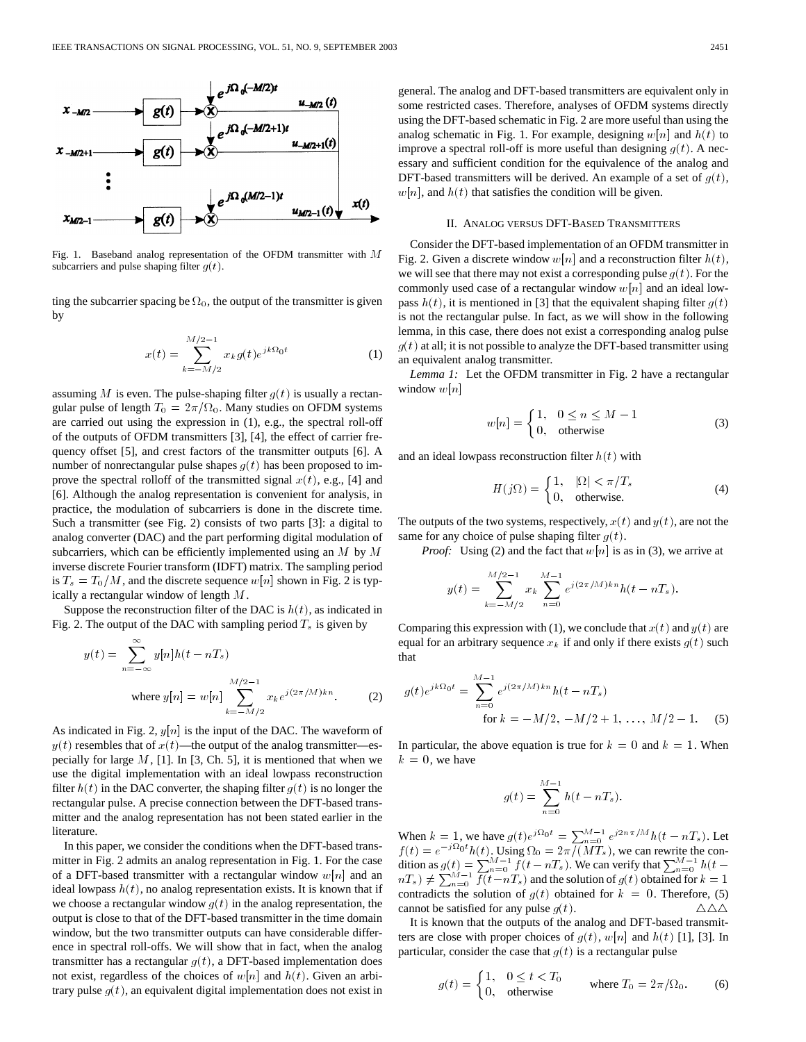

Fig. 1. Baseband analog representation of the OFDM transmitter with  $M$ subcarriers and pulse shaping filter  $g(t)$ .

ting the subcarrier spacing be  $\Omega_0$ , the output of the transmitter is given by  $M/2-1$ 

$$
x(t) = \sum_{k=-M/2}^{M/2-1} x_k g(t) e^{jk\Omega_0 t}
$$
 (1)

assuming M is even. The pulse-shaping filter  $g(t)$  is usually a rectangular pulse of length  $T_0 = 2\pi/\Omega_0$ . Many studies on OFDM systems are carried out using the expression in (1), e.g., the spectral roll-off of the outputs of OFDM transmitters [3], [4], the effect of carrier frequency offset [5], and crest factors of the transmitter outputs [6]. A number of nonrectangular pulse shapes  $g(t)$  has been proposed to improve the spectral rolloff of the transmitted signal  $x(t)$ , e.g., [4] and [6]. Although the analog representation is convenient for analysis, in practice, the modulation of subcarriers is done in the discrete time. Such a transmitter (see Fig. 2) consists of two parts [3]: a digital to analog converter (DAC) and the part performing digital modulation of subcarriers, which can be efficiently implemented using an  $M$  by  $M$ inverse discrete Fourier transform (IDFT) matrix. The sampling period is  $T_s = T_0/M$ , and the discrete sequence  $w[n]$  shown in Fig. 2 is typically a rectangular window of length M.

Suppose the reconstruction filter of the DAC is  $h(t)$ , as indicated in Fig. 2. The output of the DAC with sampling period  $T_s$  is given by

 $\infty$ 

$$
y(t) = \sum_{n = -\infty} y[n]h(t - nT_s)
$$
  
where  $y[n] = w[n] \sum_{k=-M/2}^{M/2-1} x_k e^{j(2\pi/M)kn}$ . (2)

As indicated in Fig. 2,  $y[n]$  is the input of the DAC. The waveform of  $y(t)$  resembles that of  $x(t)$ —the output of the analog transmitter—especially for large  $M$ , [1]. In [3, Ch. 5], it is mentioned that when we use the digital implementation with an ideal lowpass reconstruction filter  $h(t)$  in the DAC converter, the shaping filter  $g(t)$  is no longer the rectangular pulse. A precise connection between the DFT-based transmitter and the analog representation has not been stated earlier in the literature.

In this paper, we consider the conditions when the DFT-based transmitter in Fig. 2 admits an analog representation in Fig. 1. For the case of a DFT-based transmitter with a rectangular window  $w[n]$  and an ideal lowpass  $h(t)$ , no analog representation exists. It is known that if we choose a rectangular window  $g(t)$  in the analog representation, the output is close to that of the DFT-based transmitter in the time domain window, but the two transmitter outputs can have considerable difference in spectral roll-offs. We will show that in fact, when the analog transmitter has a rectangular  $g(t)$ , a DFT-based implementation does not exist, regardless of the choices of  $w[n]$  and  $h(t)$ . Given an arbitrary pulse  $g(t)$ , an equivalent digital implementation does not exist in general. The analog and DFT-based transmitters are equivalent only in some restricted cases. Therefore, analyses of OFDM systems directly using the DFT-based schematic in Fig. 2 are more useful than using the analog schematic in Fig. 1. For example, designing  $w[n]$  and  $h(t)$  to improve a spectral roll-off is more useful than designing  $g(t)$ . A necessary and sufficient condition for the equivalence of the analog and DFT-based transmitters will be derived. An example of a set of  $g(t)$ ,  $w[n]$ , and  $h(t)$  that satisfies the condition will be given.

### II. ANALOG VERSUS DFT-BASED TRANSMITTERS

Consider the DFT-based implementation of an OFDM transmitter in Fig. 2. Given a discrete window  $w[n]$  and a reconstruction filter  $h(t)$ , we will see that there may not exist a corresponding pulse  $g(t)$ . For the commonly used case of a rectangular window  $w[n]$  and an ideal lowpass  $h(t)$ , it is mentioned in [3] that the equivalent shaping filter  $g(t)$ is not the rectangular pulse. In fact, as we will show in the following lemma, in this case, there does not exist a corresponding analog pulse  $g(t)$  at all; it is not possible to analyze the DFT-based transmitter using an equivalent analog transmitter.

*Lemma 1:* Let the OFDM transmitter in Fig. 2 have a rectangular window  $w[n]$ 

$$
w[n] = \begin{cases} 1, & 0 \le n \le M - 1 \\ 0, & \text{otherwise} \end{cases}
$$
 (3)

and an ideal lowpass reconstruction filter  $h(t)$  with

$$
H(j\Omega) = \begin{cases} 1, & |\Omega| < \pi/T_s \\ 0, & \text{otherwise.} \end{cases}
$$
 (4)

The outputs of the two systems, respectively,  $x(t)$  and  $y(t)$ , are not the same for any choice of pulse shaping filter  $g(t)$ .

*Proof:* Using (2) and the fact that  $w[n]$  is as in (3), we arrive at

$$
y(t) = \sum_{k=-M/2}^{M/2-1} x_k \sum_{n=0}^{M-1} e^{j(2\pi/M)kn} h(t - nT_s).
$$

Comparing this expression with (1), we conclude that  $x(t)$  and  $y(t)$  are equal for an arbitrary sequence  $x_k$  if and only if there exists  $g(t)$  such that

$$
g(t)e^{jk\Omega_0 t} = \sum_{n=0}^{M-1} e^{j(2\pi/M)kn} h(t - nT_s)
$$
  
for  $k = -M/2, -M/2 + 1, ..., M/2 - 1$ . (5)

In particular, the above equation is true for  $k = 0$  and  $k = 1$ . When  $k = 0$ , we have

$$
g(t) = \sum_{n=0}^{M-1} h(t - nT_s).
$$

When  $k = 1$ , we have  $g(t)e^{j\Omega_0 t} = \sum_{n=0}^{M-1} e^{j2n\pi/M} h(t - nT_s)$ . Let  $f(t) = e^{-j\Omega_0 t} h(t)$ . Using  $\Omega_0 = 2\pi/(MT_s)$ , we can rewrite the condition as  $g(t) = \sum_{n=0}^{M-1} \overline{f(t-nT_s)}$ . We can verify that  $\sum_{n=0}^{M-1} h(t-nT_s) \neq \sum_{n=0}^{M-1} f(t-nT_s)$  and the solution of  $g(t)$  obtained for  $k=1$ contradicts the solution of  $g(t)$  obtained for  $k = 0$ . Therefore, (5) cannot be satisfied for any pulse  $g(t)$ .  $\triangle \triangle \triangle$ 

It is known that the outputs of the analog and DFT-based transmitters are close with proper choices of  $g(t)$ ,  $w[n]$  and  $h(t)$  [1], [3]. In particular, consider the case that  $q(t)$  is a rectangular pulse

$$
g(t) = \begin{cases} 1, & 0 \le t < T_0 \\ 0, & \text{otherwise} \end{cases} \qquad \text{where } T_0 = 2\pi/\Omega_0. \tag{6}
$$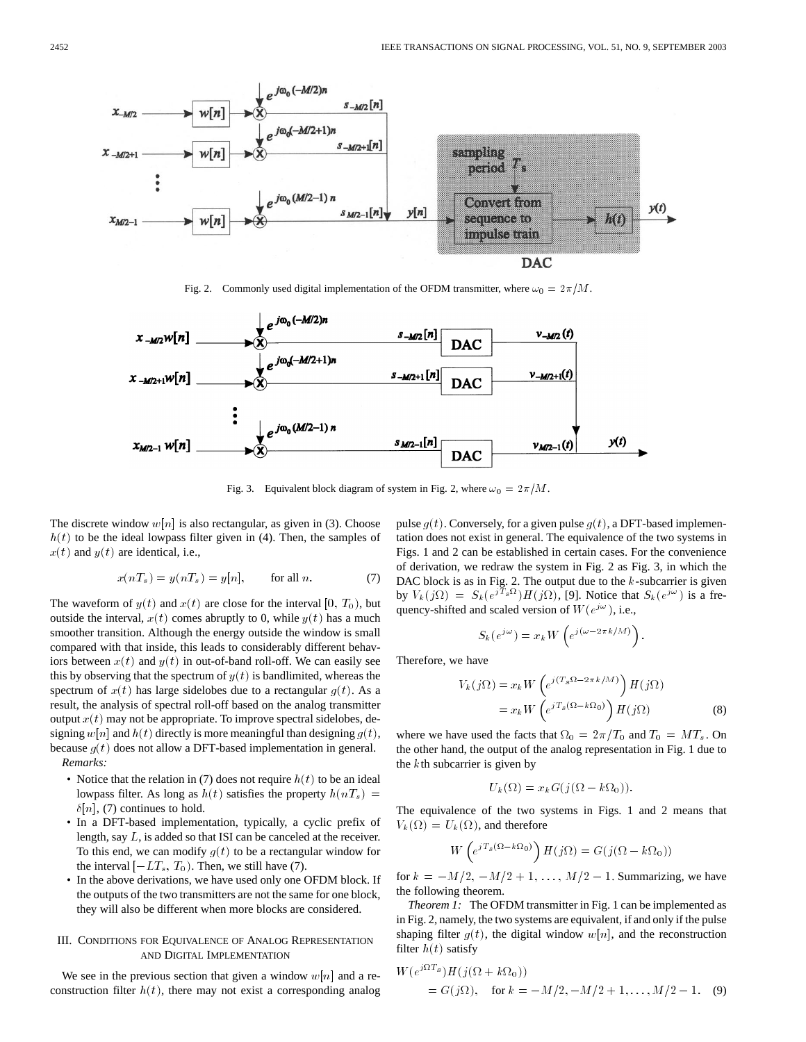

Fig. 2. Commonly used digital implementation of the OFDM transmitter, where  $\omega_0 = 2\pi/M$ .



Fig. 3. Equivalent block diagram of system in Fig. 2, where  $\omega_0 = 2\pi/M$ .

The discrete window  $w[n]$  is also rectangular, as given in (3). Choose  $h(t)$  to be the ideal lowpass filter given in (4). Then, the samples of  $x(t)$  and  $y(t)$  are identical, i.e.,

$$
x(nTs) = y(nTs) = y[n], \tfor all n. \t(7)
$$

The waveform of  $y(t)$  and  $x(t)$  are close for the interval [0,  $T_0$ ), but outside the interval,  $x(t)$  comes abruptly to 0, while  $y(t)$  has a much smoother transition. Although the energy outside the window is small compared with that inside, this leads to considerably different behaviors between  $x(t)$  and  $y(t)$  in out-of-band roll-off. We can easily see this by observing that the spectrum of  $y(t)$  is bandlimited, whereas the spectrum of  $x(t)$  has large sidelobes due to a rectangular  $g(t)$ . As a result, the analysis of spectral roll-off based on the analog transmitter output  $x(t)$  may not be appropriate. To improve spectral sidelobes, designing  $w[n]$  and  $h(t)$  directly is more meaningful than designing  $q(t)$ , because  $g(t)$  does not allow a DFT-based implementation in general. *Remarks:*

- Notice that the relation in (7) does not require  $h(t)$  to be an ideal lowpass filter. As long as  $h(t)$  satisfies the property  $h(nT<sub>s</sub>) =$  $\delta[n]$ , (7) continues to hold.
- In a DFT-based implementation, typically, a cyclic prefix of length, say L, is added so that ISI can be canceled at the receiver. To this end, we can modify  $g(t)$  to be a rectangular window for the interval  $[-LT_s, T_0)$ . Then, we still have (7).
- In the above derivations, we have used only one OFDM block. If the outputs of the two transmitters are not the same for one block, they will also be different when more blocks are considered.

# III. CONDITIONS FOR EQUIVALENCE OF ANALOG REPRESENTATION AND DIGITAL IMPLEMENTATION

We see in the previous section that given a window  $w[n]$  and a reconstruction filter  $h(t)$ , there may not exist a corresponding analog pulse  $g(t)$ . Conversely, for a given pulse  $g(t)$ , a DFT-based implementation does not exist in general. The equivalence of the two systems in Figs. 1 and 2 can be established in certain cases. For the convenience of derivation, we redraw the system in Fig. 2 as Fig. 3, in which the DAC block is as in Fig. 2. The output due to the  $k$ -subcarrier is given by  $V_k(j\Omega) = S_k(e^{jT_s\Omega})H(j\Omega)$ , [9]. Notice that  $S_k(e^{j\omega})$  is a freby  $V_k(j\Omega) = S_k(e^{j\omega}) H(j\Omega)$ , [9]. Nonce that a squency-shifted and scaled version of  $W(e^{j\omega})$ , i.e.,<br> $S_k(e^{j\omega}) = x_k W(e^{j(\omega-2\pi k/M)})$ .

$$
S_k(e^{j\omega}) = x_k W\left(e^{j(\omega - 2\pi k/M)}\right)
$$

Therefore, we have

e have  
\n
$$
V_k(j\Omega) = x_k W \left( e^{j(T_s\Omega - 2\pi k/M)} \right) H(j\Omega)
$$
\n
$$
= x_k W \left( e^{jT_s(\Omega - k\Omega_0)} \right) H(j\Omega)
$$
\n(8)

where we have used the facts that  $\Omega_0 = 2\pi/T_0$  and  $T_0 = MT_s$ . On the other hand, the output of the analog representation in Fig. 1 due to the kth subcarrier is given by =  $2\pi$  /'.<br>g represe

$$
U_k(\Omega) = x_k G(j(\Omega - k\Omega_0)).
$$

The equivalence of the two systems in Figs. 1 and 2 means that<br>  $V_k(\Omega) = U_k(\Omega)$ , and therefore<br>  $W\left(e^{jT_s(\Omega - k\Omega_0)}\right)H(j\Omega) = G(j(\Omega - k\Omega_0))$ The equivalence of the two sy<br>  $V_k(\Omega) = U_k(\Omega)$ , and therefore

$$
W\left(e^{jT_s(\Omega - k\Omega_0)}\right)H(j\Omega) = G(j(\Omega - k\Omega_0))
$$

for  $k = -M/2, -M/2+1, \ldots, M/2-1$ . Summarizing, we have the following theorem.

*Theorem 1:* The OFDM transmitter in Fig. 1 can be implemented as in Fig. 2, namely, the two systems are equivalent, if and only if the pulse shaping filter  $g(t)$ , the digital window  $w[n]$ , and the reconstruction filter  $h(t)$  satisfy

Shapping filter 
$$
h(t)
$$
 satisfy

\n
$$
W(e^{j\Omega T_s})H(j(\Omega + k\Omega_0))
$$
\n
$$
= G(j\Omega), \quad \text{for } k = -M/2, -M/2 + 1, \ldots, M/2 - 1. \quad (9)
$$